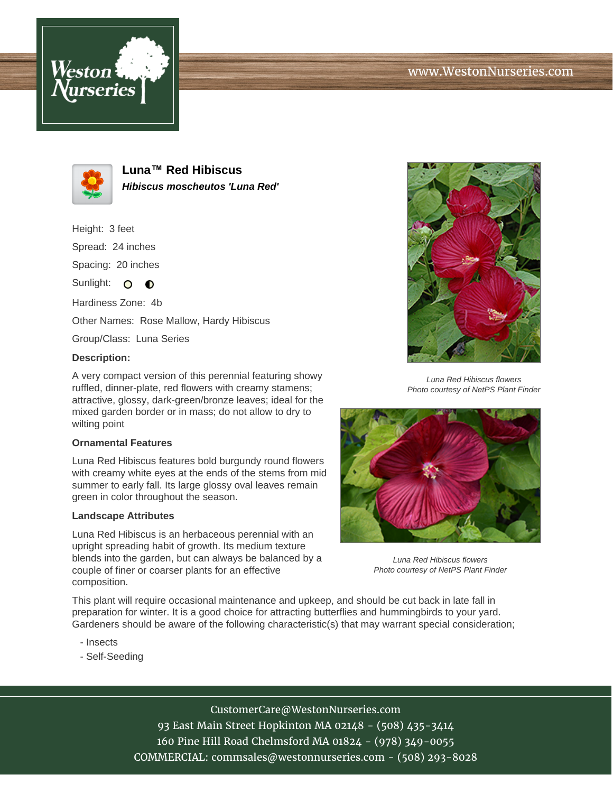# www.WestonNurseries.com





**Luna™ Red Hibiscus Hibiscus moscheutos 'Luna Red'**

Height: 3 feet Spread: 24 inches Spacing: 20 inches

Sunlight: O **O** 

Hardiness Zone: 4b

Other Names: Rose Mallow, Hardy Hibiscus

Group/Class: Luna Series

### **Description:**

A very compact version of this perennial featuring showy ruffled, dinner-plate, red flowers with creamy stamens; attractive, glossy, dark-green/bronze leaves; ideal for the mixed garden border or in mass; do not allow to dry to wilting point

#### **Ornamental Features**

Luna Red Hibiscus features bold burgundy round flowers with creamy white eyes at the ends of the stems from mid summer to early fall. Its large glossy oval leaves remain green in color throughout the season.

#### **Landscape Attributes**

Luna Red Hibiscus is an herbaceous perennial with an upright spreading habit of growth. Its medium texture blends into the garden, but can always be balanced by a couple of finer or coarser plants for an effective composition.

This plant will require occasional maintenance and upkeep, and should be cut back in late fall in preparation for winter. It is a good choice for attracting butterflies and hummingbirds to your yard. Gardeners should be aware of the following characteristic(s) that may warrant special consideration;

- Insects
- Self-Seeding





Luna Red Hibiscus flowers Photo courtesy of NetPS Plant Finder



Luna Red Hibiscus flowers Photo courtesy of NetPS Plant Finder